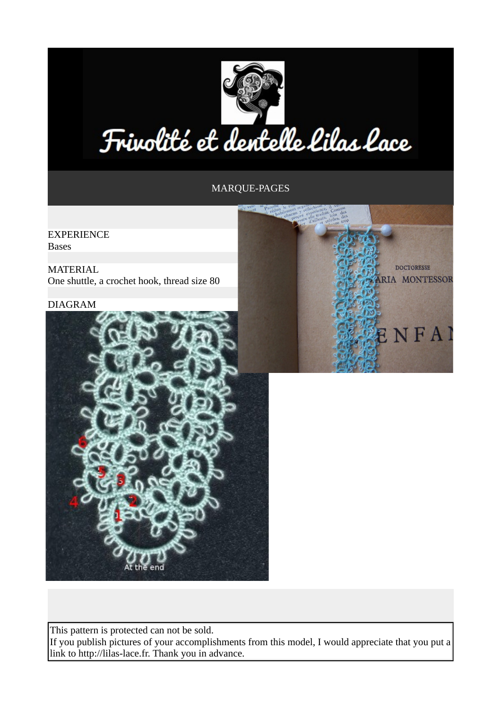

## Frivolité et dentelle lilas lace

## MARQUE-PAGES

EXPERIENCE Bases

MATERIAL One shuttle, a crochet hook, thread size 80

## DIAGRAM





This pattern is protected can not be sold. If you publish pictures of your accomplishments from this model, I would appreciate that you put a link to http://lilas-lace.fr. Thank you in advance.